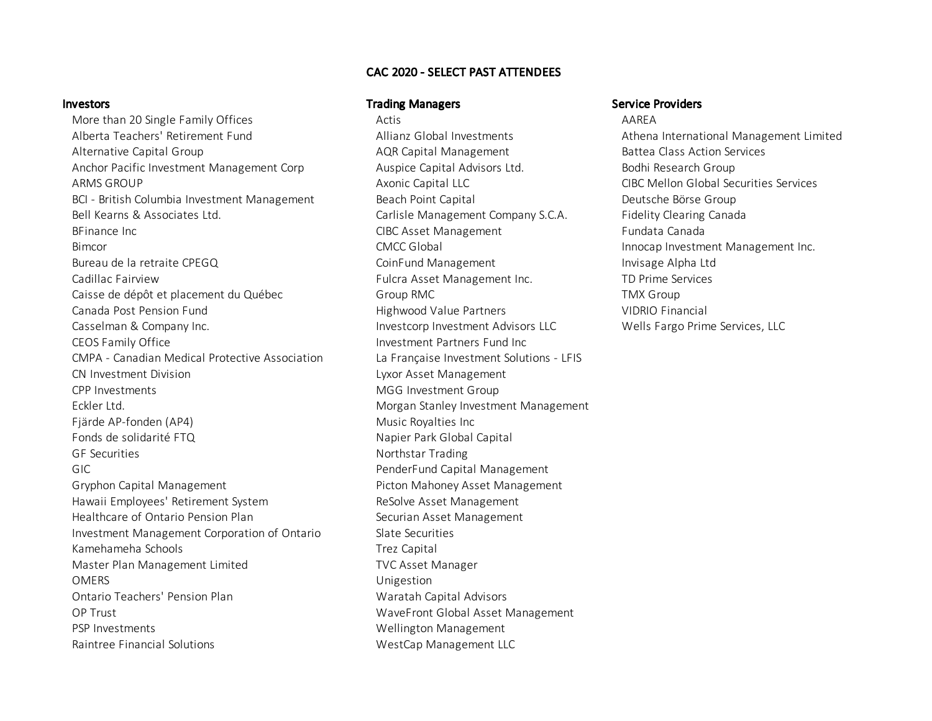## CAC 2020 - SELECT PAST ATTENDEES

More than 20 Single Family Offices Actis Actis Actis AAREA Alberta Teachers' Retirement Fund Allianz Global Investments Athena International Management Limited Alternative Capital Group AQU AQR Capital Management Battea Class Action Services Anchor Pacific Investment Management Corp **Auspice Capital Advisors Ltd.** Bodhi Research Group ARMS GROUP **Axonic Capital LLC** CIBC Mellon Global Securities Services Axonic Capital LLC BCI - British Columbia Investment Management Beach Point Capital Capital Deutsche Börse Group Bell Kearns & Associates Ltd. Carlisle Management Company S.C.A. Fidelity Clearing Canada BFinance Inc CIBC Asset Management Fundata Canada Bimcor **Example 2** and the CMCC Global **Innocap Investment Management Inc. Innocap Investment Management Inc.** Bureau de la retraite CPEGQ and the CoinFund Management and the coinFund Management of the Invisage Alpha Ltd Cadillac Fairview Fulcra Asset Management Inc. TD Prime Services Caisse de dépôt et placement du Québec Group RMC Caisse de dépôt et placement du Québec Group Group RMC Caisse Canada Post Pension Fund Highwood Value Partners VIDRIO Financial Casselman & Company Inc. Investcorp Investment Advisors LLC Wells Fargo Prime Services, LLC CEOS Family Office The Investment Partners Fund Inc CMPA - Canadian Medical Protective Association La Française Investment Solutions - LFIS CN Investment Division Lyxor Asset Management CPP Investments MGG Investment Group Eckler Ltd. Morgan Stanley Investment Management Fjärde AP-fonden (AP4) Music Royalties Inc Fonds de solidarité FTQ  $\sim$  Napier Park Global Capital GF Securities **Notifiable Securities** Northstar Trading GIC PenderFund Capital Management Gryphon Capital Management Picton Mahoney Asset Management Hawaii Employees' Retirement System **ReSolve Asset Management** Healthcare of Ontario Pension Plan Securian Asset Management Investment Management Corporation of Ontario Slate Securities Kamehameha Schools **Trez Capital** Capital Communist Capital Capital Capital Capital Capital Capital Capital Capital Capital Capital Capital Capital Capital Capital Capital Capital Capital Capital Capital Capital Capital Ca Master Plan Management Limited TVC Asset Manager OMERS Unigestion Ontario Teachers' Pension Plan Waratah Capital Advisors OP Trust WaveFront Global Asset Management PSP Investments Wellington Management

## Investors **Investors** Service Providers **Trading Managers** Service Providers and Service Providers

Raintree Financial Solutions and Messeum MestCap Management LLC